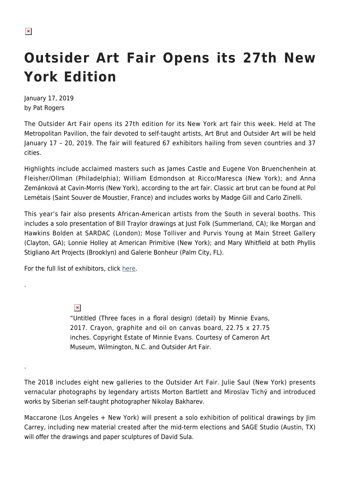.

.

## **Outsider Art Fair Opens its 27th New York Edition**

January 17, 2019 by Pat Rogers

The Outsider Art Fair opens its 27th edition for its New York art fair this week. Held at The Metropolitan Pavilion, the fair devoted to self-taught artists, Art Brut and Outsider Art will be held January 17 – 20, 2019. The fair will featured 67 exhibitors hailing from seven countries and 37 cities.

Highlights include acclaimed masters such as James Castle and Eugene Von Bruenchenhein at Fleisher/Ollman (Philadelphia); William Edmondson at Ricco/Maresca (New York); and Anna Zemánková at Cavin-Morris (New York), according to the art fair. Classic art brut can be found at Pol Lemétais (Saint Souver de Moustier, France) and includes works by Madge Gill and Carlo Zinelli.

This year's fair also presents African-American artists from the South in several booths. This includes a solo presentation of Bill Traylor drawings at Just Folk (Summerland, CA); Ike Morgan and Hawkins Bolden at SARDAC (London); Mose Tolliver and Purvis Young at Main Street Gallery (Clayton, GA); Lonnie Holley at American Primitive (New York); and Mary Whitfield at both Phyllis Stigliano Art Projects (Brooklyn) and Galerie Bonheur (Palm City, FL).

For the full list of exhibitors, click [here](https://www.outsiderartfair.com/new-york).

 $\pmb{\times}$ 

"Untitled (Three faces in a floral design) (detail) by Minnie Evans, 2017. Crayon, graphite and oil on canvas board, 22.75 x 27.75 inches. Copyright Estate of Minnie Evans. Courtesy of Cameron Art Museum, Wilmington, N.C. and Outsider Art Fair.

The 2018 includes eight new galleries to the Outsider Art Fair. Julie Saul (New York) presents vernacular photographs by legendary artists Morton Bartlett and Miroslav Tichý and introduced works by Siberian self-taught photographer Nikolay Bakharev.

Maccarone (Los Angeles + New York) will present a solo exhibition of political drawings by Jim Carrey, including new material created after the mid-term elections and SAGE Studio (Austin, TX) will offer the drawings and paper sculptures of David Sula.